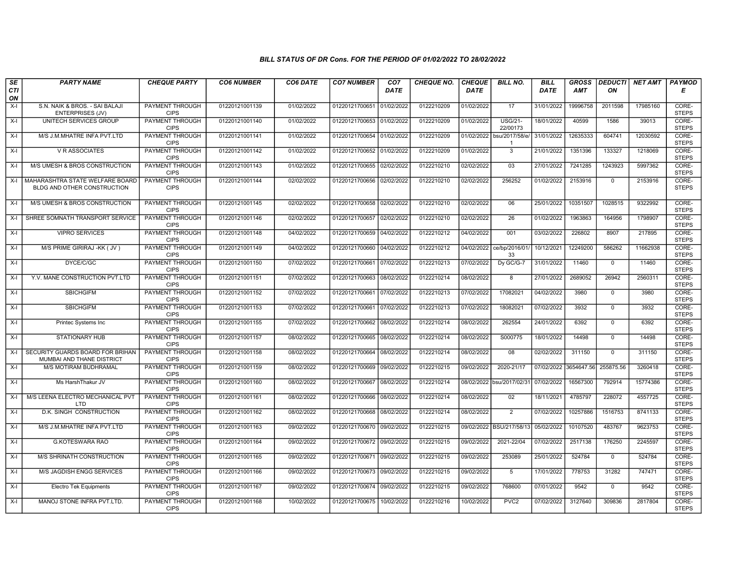| SE        | <b>PARTY NAME</b>                                              | <b>CHEQUE PARTY</b>                   | <b>CO6 NUMBER</b> | CO6 DATE   | <b>CO7 NUMBER</b>         | CO <sub>7</sub> | <b>CHEQUE NO.</b> | <b>CHEQUE</b> | <b>BILL NO.</b>            | <b>BILL</b>           | <b>GROSS</b> | <b>DEDUCTI</b> | <b>NET AMT</b> | <b>PAYMOD</b>         |
|-----------|----------------------------------------------------------------|---------------------------------------|-------------------|------------|---------------------------|-----------------|-------------------|---------------|----------------------------|-----------------------|--------------|----------------|----------------|-----------------------|
| CTI<br>ON |                                                                |                                       |                   |            |                           | <b>DATE</b>     |                   | DATE          |                            | DATE                  | <b>AMT</b>   | ΟN             |                | Е                     |
| $X-I$     | S.N. NAIK & BROS. - SAI BALAJI<br><b>ENTERPRISES (JV)</b>      | <b>PAYMENT THROUGH</b><br><b>CIPS</b> | 01220121001139    | 01/02/2022 | 01220121700651            | 01/02/2022      | 0122210209        | 01/02/2022    | 17                         | 31/01/2022            | 19996758     | 2011598        | 17985160       | CORE-<br><b>STEPS</b> |
| $X-I$     | UNITECH SERVICES GROUP                                         | <b>PAYMENT THROUGH</b><br><b>CIPS</b> | 01220121001140    | 01/02/2022 | 01220121700653 01/02/2022 |                 | 0122210209        | 01/02/2022    | <b>USG/21-</b><br>22/00173 | 18/01/2022            | 40599        | 1586           | 39013          | CORE-<br><b>STEPS</b> |
| $X-I$     | M/S J.M.MHATRE INFA PVT.LTD                                    | PAYMENT THROUGH<br><b>CIPS</b>        | 01220121001141    | 01/02/2022 | 01220121700654            | 01/02/2022      | 0122210209        | 01/02/2022    | bsu/2017/58/e/<br>-1       | 31/01/2022            | 12635333     | 604741         | 12030592       | CORE-<br><b>STEPS</b> |
| $X-I$     | <b>V R ASSOCIATES</b>                                          | PAYMENT THROUGH<br><b>CIPS</b>        | 01220121001142    | 01/02/2022 | 01220121700652 01/02/2022 |                 | 0122210209        | 01/02/2022    | $\overline{3}$             | 21/01/2022            | 1351396      | 133327         | 1218069        | CORE-<br><b>STEPS</b> |
| $X-I$     | M/S UMESH & BROS CONSTRUCTION                                  | <b>PAYMENT THROUGH</b><br><b>CIPS</b> | 01220121001143    | 01/02/2022 | 01220121700655            | 02/02/2022      | 0122210210        | 02/02/2022    | 03                         | 27/01/2022            | 7241285      | 1243923        | 5997362        | CORE-<br><b>STEPS</b> |
| $X-I$     | MAHARASHTRA STATE WELFARE BOARD<br>BLDG AND OTHER CONSTRUCTION | PAYMENT THROUGH<br><b>CIPS</b>        | 01220121001144    | 02/02/2022 | 01220121700656 02/02/2022 |                 | 0122210210        | 02/02/2022    | 256252                     | 01/02/2022            | 2153916      | $\mathbf{0}$   | 2153916        | CORE-<br><b>STEPS</b> |
| $X-I$     | M/S UMESH & BROS CONSTRUCTION                                  | PAYMENT THROUGH<br><b>CIPS</b>        | 01220121001145    | 02/02/2022 | 01220121700658 02/02/2022 |                 | 0122210210        | 02/02/2022    | 06                         | 25/01/2022            | 10351507     | 1028515        | 9322992        | CORE-<br><b>STEPS</b> |
| $X-I$     | SHREE SOMNATH TRANSPORT SERVICE                                | <b>PAYMENT THROUGH</b><br><b>CIPS</b> | 01220121001146    | 02/02/2022 | 01220121700657            | 02/02/2022      | 0122210210        | 02/02/2022    | $\overline{26}$            | 01/02/2022            | 1963863      | 164956         | 1798907        | CORE-<br><b>STEPS</b> |
| $X-I$     | <b>VIPRO SERVICES</b>                                          | <b>PAYMENT THROUGH</b><br><b>CIPS</b> | 01220121001148    | 04/02/2022 | 01220121700659            | 04/02/2022      | 0122210212        | 04/02/2022    | 001                        | 03/02/2022            | 226802       | 8907           | 217895         | CORE-<br><b>STEPS</b> |
| $X-I$     | M/S PRIME GIRIRAJ -KK (JV)                                     | PAYMENT THROUGH<br><b>CIPS</b>        | 01220121001149    | 04/02/2022 | 01220121700660            | 04/02/2022      | 0122210212        | 04/02/2022    | ce/bp/2016/01<br>33        | 10/12/2021            | 12249200     | 586262         | 11662938       | CORE-<br><b>STEPS</b> |
| $X-I$     | DYCE/C/GC                                                      | PAYMENT THROUGH<br><b>CIPS</b>        | 01220121001150    | 07/02/2022 | 01220121700661            | 07/02/2022      | 0122210213        | 07/02/2022    | Dy GC/G-7                  | 31/01/2022            | 11460        | $\mathbf{0}$   | 11460          | CORE-<br><b>STEPS</b> |
| $X-I$     | Y.V. MANE CONSTRUCTION PVT.LTD                                 | <b>PAYMENT THROUGH</b><br><b>CIPS</b> | 01220121001151    | 07/02/2022 | 01220121700663            | 08/02/2022      | 0122210214        | 08/02/2022    | $\overline{8}$             | 27/01/2022            | 2689052      | 26942          | 2560311        | CORE-<br><b>STEPS</b> |
| X-I       | <b>SBICHGIFM</b>                                               | PAYMENT THROUGH<br><b>CIPS</b>        | 01220121001152    | 07/02/2022 | 01220121700661            | 07/02/2022      | 0122210213        | 07/02/2022    | 17082021                   | 04/02/2022            | 3980         | $\mathbf{0}$   | 3980           | CORE-<br><b>STEPS</b> |
| $X-I$     | <b>SBICHGIFM</b>                                               | PAYMENT THROUGH<br><b>CIPS</b>        | 01220121001153    | 07/02/2022 | 01220121700661            | 07/02/2022      | 0122210213        | 07/02/2022    | 18082021                   | 07/02/2022            | 3932         | $\Omega$       | 3932           | CORE-<br><b>STEPS</b> |
| $X-I$     | Printec Systems Inc                                            | <b>PAYMENT THROUGH</b><br><b>CIPS</b> | 01220121001155    | 07/02/2022 | 01220121700662            | 08/02/2022      | 0122210214        | 08/02/2022    | 262554                     | 24/01/2022            | 6392         | $\Omega$       | 6392           | CORE-<br><b>STEPS</b> |
| $X-I$     | <b>STATIONARY HUB</b>                                          | <b>PAYMENT THROUGH</b><br><b>CIPS</b> | 01220121001157    | 08/02/2022 | 01220121700665            | 08/02/2022      | 0122210214        | 08/02/2022    | S000775                    | 18/01/2022            | 14498        | $\overline{0}$ | 14498          | CORE-<br><b>STEPS</b> |
| $X-I$     | SECURITY GUARDS BOARD FOR BRIHAN<br>MUMBAI AND THANE DISTRICT  | <b>PAYMENT THROUGH</b><br><b>CIPS</b> | 01220121001158    | 08/02/2022 | 01220121700664            | 08/02/2022      | 0122210214        | 08/02/2022    | 08                         | 02/02/2022            | 311150       | $\mathbf 0$    | 311150         | CORE-<br><b>STEPS</b> |
| $X-I$     | M/S MOTIRAM BUDHRAMAL                                          | PAYMENT THROUGH<br><b>CIPS</b>        | 01220121001159    | 08/02/2022 | 01220121700669            | 09/02/2022      | 0122210215        | 09/02/2022    | 2020-21/17                 | 07/02/2022 3654647.56 |              | 255875.56      | 3260418        | CORE-<br><b>STEPS</b> |
| $X-I$     | Ms HarshThakur JV                                              | PAYMENT THROUGH<br><b>CIPS</b>        | 01220121001160    | 08/02/2022 | 01220121700667            | 08/02/2022      | 0122210214        |               | 08/02/2022 bsu/2017/02/31  | 07/02/2022            | 16567300     | 792914         | 15774386       | CORE-<br><b>STEPS</b> |
| $X-I$     | M/S LEENA ELECTRO MECHANICAL PVT<br>LTD                        | <b>PAYMENT THROUGH</b><br><b>CIPS</b> | 01220121001161    | 08/02/2022 | 01220121700666            | 08/02/2022      | 0122210214        | 08/02/2022    | 02                         | 18/11/2021            | 4785797      | 228072         | 4557725        | CORE-<br><b>STEPS</b> |
| $X-I$     | D.K. SINGH CONSTRUCTION                                        | <b>PAYMENT THROUGH</b><br><b>CIPS</b> | 01220121001162    | 08/02/2022 | 01220121700668 08/02/2022 |                 | 0122210214        | 08/02/2022    | $\overline{2}$             | 07/02/2022            | 10257886     | 1516753        | 8741133        | CORE-<br><b>STEPS</b> |
| $X-I$     | M/S J.M.MHATRE INFA PVT.LTD                                    | PAYMENT THROUGH<br><b>CIPS</b>        | 01220121001163    | 09/02/2022 | 01220121700670            | 09/02/2022      | 0122210215        |               | 09/02/2022 BSU/217/58/13   | 05/02/2022            | 10107520     | 483767         | 9623753        | CORE-<br><b>STEPS</b> |
| $X-I$     | G.KOTESWARA RAO                                                | PAYMENT THROUGH<br><b>CIPS</b>        | 01220121001164    | 09/02/2022 | 01220121700672            | 09/02/2022      | 0122210215        | 09/02/2022    | 2021-22/04                 | 07/02/2022            | 2517138      | 176250         | 2245597        | CORE-<br><b>STEPS</b> |
| $X-I$     | M/S SHRINATH CONSTRUCTION                                      | <b>PAYMENT THROUGH</b><br><b>CIPS</b> | 01220121001165    | 09/02/2022 | 01220121700671            | 09/02/2022      | 0122210215        | 09/02/2022    | 253089                     | 25/01/2022            | 524784       | $\overline{0}$ | 524784         | CORE-<br><b>STEPS</b> |
| $X-I$     | <b>M/S JAGDISH ENGG SERVICES</b>                               | PAYMENT THROUGH<br><b>CIPS</b>        | 01220121001166    | 09/02/2022 | 01220121700673            | 09/02/2022      | 0122210215        | 09/02/2022    | 5                          | 17/01/2022            | 778753       | 31282          | 747471         | CORE-<br><b>STEPS</b> |
| $X-I$     | <b>Electro Tek Equipments</b>                                  | PAYMENT THROUGH<br><b>CIPS</b>        | 01220121001167    | 09/02/2022 | 01220121700674 09/02/2022 |                 | 0122210215        | 09/02/2022    | 768600                     | 07/01/2022            | 9542         | $\Omega$       | 9542           | CORE-<br><b>STEPS</b> |
| $X-I$     | MANOJ STONE INFRA PVT.LTD.                                     | PAYMENT THROUGH<br><b>CIPS</b>        | 01220121001168    | 10/02/2022 | 01220121700675 10/02/2022 |                 | 0122210216        | 10/02/2022    | PVC <sub>2</sub>           | 07/02/2022            | 3127640      | 309836         | 2817804        | CORE-<br><b>STEPS</b> |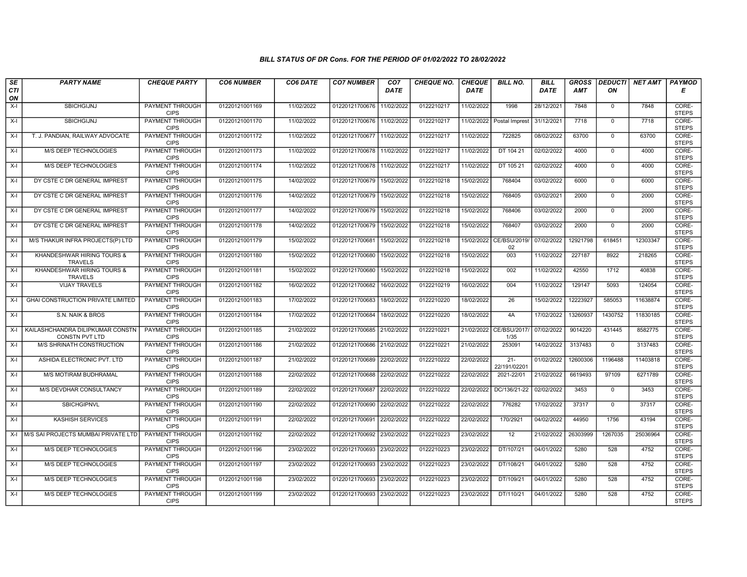| SE        | <b>PARTY NAME</b>                                         | <b>CHEQUE PARTY</b>                   | <b>CO6 NUMBER</b> | CO6 DATE   | <b>CO7 NUMBER</b>         | CO <sub>7</sub> | <b>CHEQUE NO.</b> | <b>CHEQUE</b> | <b>BILL NO.</b>               | <b>BILL</b> | <b>GROSS</b> |                | DEDUCTI NET AMT | <b>PAYMOD</b>         |
|-----------|-----------------------------------------------------------|---------------------------------------|-------------------|------------|---------------------------|-----------------|-------------------|---------------|-------------------------------|-------------|--------------|----------------|-----------------|-----------------------|
| CTI<br>ON |                                                           |                                       |                   |            |                           | <b>DATE</b>     |                   | <b>DATE</b>   |                               | <b>DATE</b> | AMT          | ON             |                 | Е                     |
| $X-I$     | <b>SBICHGIJNJ</b>                                         | <b>PAYMENT THROUGH</b><br><b>CIPS</b> | 01220121001169    | 11/02/2022 | 01220121700676            | 11/02/2022      | 0122210217        | 11/02/2022    | 1998                          | 28/12/2021  | 7848         | $\mathbf 0$    | 7848            | CORE-<br><b>STEPS</b> |
| $X-I$     | <b>SBICHGIJNJ</b>                                         | <b>PAYMENT THROUGH</b><br><b>CIPS</b> | 01220121001170    | 11/02/2022 | 01220121700676 11/02/2022 |                 | 0122210217        | 11/02/2022    | Postal Imprest                | 31/12/2021  | 7718         | $\mathbf{0}$   | 7718            | CORE-<br><b>STEPS</b> |
| X-I       | T. J. PANDIAN, RAILWAY ADVOCATE                           | PAYMENT THROUGH<br><b>CIPS</b>        | 01220121001172    | 11/02/2022 | 01220121700677            | 11/02/2022      | 0122210217        | 11/02/2022    | 722825                        | 08/02/2022  | 63700        | $\mathbf 0$    | 63700           | CORE-<br><b>STEPS</b> |
| $X-I$     | M/S DEEP TECHNOLOGIES                                     | PAYMENT THROUGH<br><b>CIPS</b>        | 01220121001173    | 11/02/2022 | 01220121700678 11/02/2022 |                 | 0122210217        | 11/02/2022    | DT 104 21                     | 02/02/2022  | 4000         | $\mathbf{0}$   | 4000            | CORE-<br><b>STEPS</b> |
| $X-I$     | <b>M/S DEEP TECHNOLOGIES</b>                              | <b>PAYMENT THROUGH</b><br><b>CIPS</b> | 01220121001174    | 11/02/2022 | 01220121700678 11/02/2022 |                 | 0122210217        | 11/02/2022    | DT 105 21                     | 02/02/2022  | 4000         | $\mathbf{0}$   | 4000            | CORE-<br><b>STEPS</b> |
| $X-I$     | DY CSTE C DR GENERAL IMPREST                              | <b>PAYMENT THROUGH</b><br><b>CIPS</b> | 01220121001175    | 14/02/2022 | 01220121700679            | 15/02/2022      | 0122210218        | 15/02/2022    | 768404                        | 03/02/2022  | 6000         | $\Omega$       | 6000            | CORE-<br><b>STEPS</b> |
| $X-I$     | DY CSTE C DR GENERAL IMPREST                              | PAYMENT THROUGH<br><b>CIPS</b>        | 01220121001176    | 14/02/2022 | 01220121700679 15/02/2022 |                 | 0122210218        | 15/02/2022    | 768405                        | 03/02/2021  | 2000         | $\mathbf{0}$   | 2000            | CORE-<br><b>STEPS</b> |
| $X-I$     | DY CSTE C DR GENERAL IMPREST                              | PAYMENT THROUGH<br><b>CIPS</b>        | 01220121001177    | 14/02/2022 | 01220121700679 15/02/2022 |                 | 0122210218        | 15/02/2022    | 768406                        | 03/02/2022  | 2000         | $\overline{0}$ | 2000            | CORE-<br><b>STEPS</b> |
| $X-I$     | DY CSTE C DR GENERAL IMPREST                              | <b>PAYMENT THROUGH</b><br><b>CIPS</b> | 01220121001178    | 14/02/2022 | 01220121700679            | 15/02/2022      | 0122210218        | 15/02/2022    | 768407                        | 03/02/2022  | 2000         | $\mathbf{0}$   | 2000            | CORE-<br><b>STEPS</b> |
| X-I       | M/S THAKUR INFRA PROJECTS(P) LTD                          | <b>PAYMENT THROUGH</b><br><b>CIPS</b> | 01220121001179    | 15/02/2022 | 01220121700681            | 15/02/2022      | 0122210218        |               | 15/02/2022 CE/BSU/2019/<br>02 | 07/02/2022  | 12921798     | 618451         | 12303347        | CORE-<br><b>STEPS</b> |
| X-I       | KHANDESHWAR HIRING TOURS &<br><b>TRAVELS</b>              | <b>PAYMENT THROUGH</b><br><b>CIPS</b> | 01220121001180    | 15/02/2022 | 01220121700680            | 15/02/2022      | 0122210218        | 15/02/2022    | 003                           | 11/02/2022  | 227187       | 8922           | 218265          | CORE-<br><b>STEPS</b> |
| X-I       | KHANDESHWAR HIRING TOURS &<br><b>TRAVELS</b>              | PAYMENT THROUGH<br><b>CIPS</b>        | 01220121001181    | 15/02/2022 | 01220121700680            | 15/02/2022      | 0122210218        | 15/02/2022    | 002                           | 11/02/2022  | 42550        | 1712           | 40838           | CORE-<br><b>STEPS</b> |
| $X-I$     | <b>VIJAY TRAVELS</b>                                      | <b>PAYMENT THROUGH</b><br><b>CIPS</b> | 01220121001182    | 16/02/2022 | 01220121700682            | 16/02/2022      | 0122210219        | 16/02/2022    | 004                           | 11/02/2022  | 129147       | 5093           | 124054          | CORE-<br><b>STEPS</b> |
| $X-I$     | GHAI CONSTRUCTION PRIVATE LIMITED                         | <b>PAYMENT THROUGH</b><br><b>CIPS</b> | 01220121001183    | 17/02/2022 | 01220121700683            | 18/02/2022      | 0122210220        | 18/02/2022    | $\overline{26}$               | 15/02/2022  | 12223927     | 585053         | 11638874        | CORE-<br><b>STEPS</b> |
| $X-I$     | S.N. NAIK & BROS                                          | PAYMENT THROUGH<br><b>CIPS</b>        | 01220121001184    | 17/02/2022 | 01220121700684            | 18/02/2022      | 0122210220        | 18/02/2022    | 4A                            | 17/02/2022  | 13260937     | 1430752        | 11830185        | CORE-<br><b>STEPS</b> |
| X-I       | KAILASHCHANDRA DILIPKUMAR CONSTN<br><b>CONSTN PVT LTD</b> | PAYMENT THROUGH<br><b>CIPS</b>        | 01220121001185    | 21/02/2022 | 01220121700685 21/02/2022 |                 | 0122210221        | 21/02/2022    | CE/BSU/2017/<br>1/35          | 07/02/2022  | 9014220      | 431445         | 8582775         | CORE-<br><b>STEPS</b> |
| X-I       | M/S SHRINATH CONSTRUCTION                                 | <b>PAYMENT THROUGH</b><br><b>CIPS</b> | 01220121001186    | 21/02/2022 | 01220121700686 21/02/2022 |                 | 0122210221        | 21/02/2022    | 253091                        | 14/02/2022  | 3137483      | $\mathbf 0$    | 3137483         | CORE-<br><b>STEPS</b> |
| $X-I$     | ASHIDA ELECTRONIC PVT. LTD                                | <b>PAYMENT THROUGH</b><br><b>CIPS</b> | 01220121001187    | 21/02/2022 | 01220121700689            | 22/02/2022      | 0122210222        | 22/02/2022    | $21 -$<br>22/191/02201        | 01/02/2022  | 12600306     | 1196488        | 11403818        | CORE-<br><b>STEPS</b> |
| $X-I$     | M/S MOTIRAM BUDHRAMAL                                     | <b>PAYMENT THROUGH</b><br><b>CIPS</b> | 01220121001188    | 22/02/2022 | 01220121700688 22/02/2022 |                 | 0122210222        | 22/02/2022    | 2021-22/01                    | 21/02/2022  | 6619493      | 97109          | 6271789         | CORE-<br><b>STEPS</b> |
| $X-I$     | M/S DEVDHAR CONSULTANCY                                   | PAYMENT THROUGH<br><b>CIPS</b>        | 01220121001189    | 22/02/2022 | 01220121700687            | 22/02/2022      | 0122210222        | 22/02/2022    | DC/136/21-22                  | 02/02/2022  | 3453         | $\mathbf 0$    | 3453            | CORE-<br><b>STEPS</b> |
| X-I       | SBICHGIPNVL                                               | PAYMENT THROUGH<br><b>CIPS</b>        | 01220121001190    | 22/02/2022 | 01220121700690 22/02/2022 |                 | 0122210222        | 22/02/2022    | 776282                        | 17/02/2022  | 37317        | $\mathbf{0}$   | 37317           | CORE-<br><b>STEPS</b> |
| X-I       | <b>KASHISH SERVICES</b>                                   | <b>PAYMENT THROUGH</b><br><b>CIPS</b> | 01220121001191    | 22/02/2022 | 01220121700691            | 22/02/2022      | 0122210222        | 22/02/2022    | 170/2921                      | 04/02/2022  | 44950        | 1756           | 43194           | CORE-<br><b>STEPS</b> |
| X-I       | M/S SAI PROJECTS MUMBAI PRIVATE LTD                       | PAYMENT THROUGH<br><b>CIPS</b>        | 01220121001192    | 22/02/2022 | 01220121700692 23/02/2022 |                 | 0122210223        | 23/02/2022    | 12                            | 21/02/2022  | 26303999     | 1267035        | 25036964        | CORE-<br><b>STEPS</b> |
| $X-I$     | M/S DEEP TECHNOLOGIES                                     | PAYMENT THROUGH<br><b>CIPS</b>        | 01220121001196    | 23/02/2022 | 01220121700693            | 23/02/2022      | 0122210223        | 23/02/2022    | DT/107/21                     | 04/01/2022  | 5280         | 528            | 4752            | CORE-<br><b>STEPS</b> |
| X-I       | M/S DEEP TECHNOLOGIES                                     | PAYMENT THROUGH<br><b>CIPS</b>        | 01220121001197    | 23/02/2022 | 01220121700693 23/02/2022 |                 | 0122210223        | 23/02/2022    | DT/108/21                     | 04/01/2022  | 5280         | 528            | 4752            | CORE-<br><b>STEPS</b> |
| $X-I$     | <b>M/S DEEP TECHNOLOGIES</b>                              | <b>PAYMENT THROUGH</b><br><b>CIPS</b> | 01220121001198    | 23/02/2022 | 01220121700693 23/02/2022 |                 | 0122210223        | 23/02/2022    | DT/109/21                     | 04/01/2022  | 5280         | 528            | 4752            | CORE-<br><b>STEPS</b> |
| X-I       | M/S DEEP TECHNOLOGIES                                     | PAYMENT THROUGH<br><b>CIPS</b>        | 01220121001199    | 23/02/2022 | 01220121700693 23/02/2022 |                 | 0122210223        | 23/02/2022    | DT/110/21                     | 04/01/2022  | 5280         | 528            | 4752            | CORE-<br><b>STEPS</b> |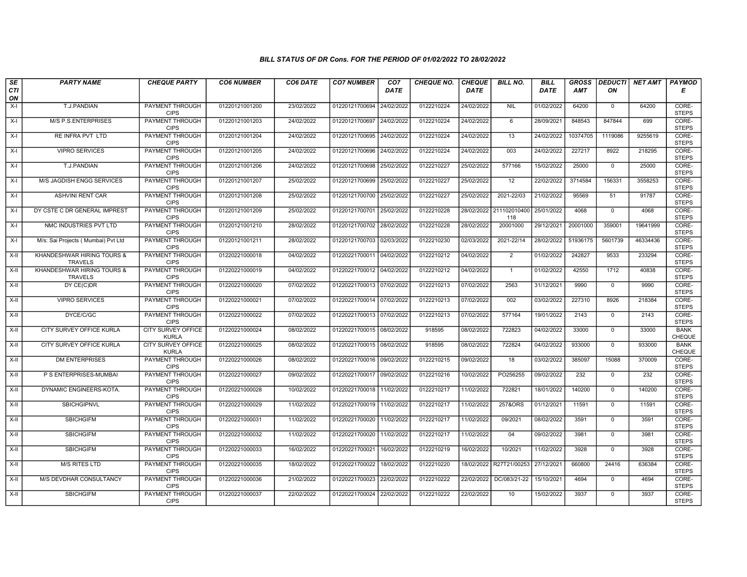| SE        | <b>PARTY NAME</b>                            | <b>CHEQUE PARTY</b>                       | <b>CO6 NUMBER</b> | CO6 DATE   | <b>CO7 NUMBER</b>         | CO <sub>7</sub> | <b>CHEQUE NO.</b> | <b>CHEQUE</b> | <b>BILL NO.</b>                | <b>BILL</b> | <b>GROSS</b> |                | DEDUCTI NET AMT | <b>PAYMOD</b>         |
|-----------|----------------------------------------------|-------------------------------------------|-------------------|------------|---------------------------|-----------------|-------------------|---------------|--------------------------------|-------------|--------------|----------------|-----------------|-----------------------|
| CTI<br>ON |                                              |                                           |                   |            |                           | DATE            |                   | <b>DATE</b>   |                                | <b>DATE</b> | AMT          | ON             |                 | Е                     |
| $X-I$     | T.J.PANDIAN                                  | <b>PAYMENT THROUGH</b><br><b>CIPS</b>     | 01220121001200    | 23/02/2022 | 01220121700694 24/02/2022 |                 | 0122210224        | 24/02/2022    | <b>NIL</b>                     | 01/02/2022  | 64200        | $\overline{0}$ | 64200           | CORE-<br><b>STEPS</b> |
| $X-I$     | <b>M/S P.S.ENTERPRISES</b>                   | <b>PAYMENT THROUGH</b><br><b>CIPS</b>     | 01220121001203    | 24/02/2022 | 01220121700697 24/02/2022 |                 | 0122210224        | 24/02/2022    | 6                              | 28/09/2021  | 848543       | 847844         | 699             | CORE-<br><b>STEPS</b> |
| X-I       | RE INFRA PVT LTD                             | PAYMENT THROUGH<br><b>CIPS</b>            | 01220121001204    | 24/02/2022 | 01220121700695 24/02/2022 |                 | 0122210224        | 24/02/2022    | 13                             | 24/02/2022  | 10374705     | 1119086        | 9255619         | CORE-<br><b>STEPS</b> |
| $X-I$     | <b>VIPRO SERVICES</b>                        | <b>PAYMENT THROUGH</b><br><b>CIPS</b>     | 01220121001205    | 24/02/2022 | 01220121700696 24/02/2022 |                 | 0122210224        | 24/02/2022    | 003                            | 24/02/2022  | 227217       | 8922           | 218295          | CORE-<br><b>STEPS</b> |
| $X-I$     | T.J.PANDIAN                                  | <b>PAYMENT THROUGH</b><br><b>CIPS</b>     | 01220121001206    | 24/02/2022 | 01220121700698 25/02/2022 |                 | 0122210227        | 25/02/2022    | 577166                         | 15/02/2022  | 25000        | $\overline{0}$ | 25000           | CORE-<br><b>STEPS</b> |
| $X-I$     | <b>M/S JAGDISH ENGG SERVICES</b>             | <b>PAYMENT THROUGH</b><br><b>CIPS</b>     | 01220121001207    | 25/02/2022 | 01220121700699 25/02/2022 |                 | 0122210227        | 25/02/2022    | $\overline{12}$                | 22/02/2022  | 3714584      | 156331         | 3558253         | CORE-<br><b>STEPS</b> |
| $X-I$     | <b>ASHVINI RENT CAR</b>                      | <b>PAYMENT THROUGH</b><br><b>CIPS</b>     | 01220121001208    | 25/02/2022 | 01220121700700 25/02/2022 |                 | 0122210227        | 25/02/2022    | 2021-22/03                     | 21/02/2022  | 95569        | 51             | 91787           | CORE-<br><b>STEPS</b> |
| $X-I$     | DY CSTE C DR GENERAL IMPREST                 | <b>PAYMENT THROUGH</b><br><b>CIPS</b>     | 01220121001209    | 25/02/2022 | 01220121700701 25/02/2022 |                 | 0122210228        |               | 28/02/2022 211102010400<br>118 | 25/01/2022  | 4068         | $\overline{0}$ | 4068            | CORE-<br><b>STEPS</b> |
| $X-I$     | NMC INDUSTRIES PVT LTD                       | <b>PAYMENT THROUGH</b><br><b>CIPS</b>     | 01220121001210    | 28/02/2022 | 01220121700702 28/02/2022 |                 | 0122210228        | 28/02/2022    | 20001000                       | 29/12/2021  | 20001000     | 359001         | 19641999        | CORE-<br><b>STEPS</b> |
| $X-I$     | M/s: Sai Projects ( Mumbai) Pvt Ltd          | <b>PAYMENT THROUGH</b><br><b>CIPS</b>     | 01220121001211    | 28/02/2022 | 01220121700703 02/03/2022 |                 | 0122210230        | 02/03/2022    | 2021-22/14                     | 28/02/2022  | 51936175     | 5601739        | 46334436        | CORE-<br><b>STEPS</b> |
| X-II      | KHANDESHWAR HIRING TOURS &<br><b>TRAVELS</b> | <b>PAYMENT THROUGH</b><br><b>CIPS</b>     | 01220221000018    | 04/02/2022 | 01220221700011 04/02/2022 |                 | 0122210212        | 04/02/2022    | $\overline{2}$                 | 01/02/2022  | 242827       | 9533           | 233294          | CORE-<br><b>STEPS</b> |
| $X-II$    | KHANDESHWAR HIRING TOURS &<br><b>TRAVELS</b> | <b>PAYMENT THROUGH</b><br><b>CIPS</b>     | 01220221000019    | 04/02/2022 | 01220221700012 04/02/2022 |                 | 0122210212        | 04/02/2022    | $\overline{1}$                 | 01/02/2022  | 42550        | 1712           | 40838           | CORE-<br><b>STEPS</b> |
| $X-H$     | DY CE(C)DR                                   | <b>PAYMENT THROUGH</b><br><b>CIPS</b>     | 01220221000020    | 07/02/2022 | 01220221700013 07/02/2022 |                 | 0122210213        | 07/02/2022    | 2563                           | 31/12/2021  | 9990         | $\overline{0}$ | 9990            | CORE-<br><b>STEPS</b> |
| $X-H$     | <b>VIPRO SERVICES</b>                        | PAYMENT THROUGH<br><b>CIPS</b>            | 01220221000021    | 07/02/2022 | 01220221700014 07/02/2022 |                 | 0122210213        | 07/02/2022    | 002                            | 03/02/2022  | 227310       | 8926           | 218384          | CORE-<br><b>STEPS</b> |
| X-II      | DYCE/C/GC                                    | <b>PAYMENT THROUGH</b><br><b>CIPS</b>     | 01220221000022    | 07/02/2022 | 01220221700013 07/02/2022 |                 | 0122210213        | 07/02/2022    | 577164                         | 19/01/2022  | 2143         | $\Omega$       | 2143            | CORE-<br><b>STEPS</b> |
| X-II      | CITY SURVEY OFFICE KURLA                     | <b>CITY SURVEY OFFICE</b><br><b>KURLA</b> | 01220221000024    | 08/02/2022 | 01220221700015 08/02/2022 |                 | 918595            | 08/02/2022    | 722823                         | 04/02/2022  | 33000        | $\mathbf{0}$   | 33000           | <b>BANK</b><br>CHEQUE |
| $X-H$     | CITY SURVEY OFFICE KURLA                     | <b>CITY SURVEY OFFICE</b><br><b>KURLA</b> | 01220221000025    | 08/02/2022 | 01220221700015 08/02/2022 |                 | 918595            | 08/02/2022    | 722824                         | 04/02/2022  | 933000       | $\overline{0}$ | 933000          | <b>BANK</b><br>CHEQUE |
| $X-H$     | <b>DM ENTERPRISES</b>                        | <b>PAYMENT THROUGH</b><br><b>CIPS</b>     | 01220221000026    | 08/02/2022 | 01220221700016 09/02/2022 |                 | 0122210215        | 09/02/2022    | 18                             | 03/02/2022  | 385097       | 15088          | 370009          | CORE-<br><b>STEPS</b> |
| $X-H$     | P S ENTERPRISES-MUMBAI                       | <b>PAYMENT THROUGH</b><br><b>CIPS</b>     | 01220221000027    | 09/02/2022 | 01220221700017 09/02/2022 |                 | 0122210216        | 10/02/2022    | PO256255                       | 09/02/2022  | 232          | $\mathbf{0}$   | 232             | CORE-<br><b>STEPS</b> |
| X-II      | DYNAMIC ENGINEERS-KOTA.                      | <b>PAYMENT THROUGH</b><br><b>CIPS</b>     | 01220221000028    | 10/02/2022 | 01220221700018 11/02/2022 |                 | 0122210217        | 11/02/2022    | 722821                         | 18/01/2022  | 140200       | $\overline{0}$ | 140200          | CORE-<br><b>STEPS</b> |
| $X-H$     | <b>SBICHGIPNVL</b>                           | <b>PAYMENT THROUGH</b><br><b>CIPS</b>     | 01220221000029    | 11/02/2022 | 01220221700019 11/02/2022 |                 | 0122210217        | 11/02/2022    | 257&ORS                        | 01/12/2021  | 11591        | $\mathbf{0}$   | 11591           | CORE-<br><b>STEPS</b> |
| $X-H$     | <b>SBICHGIFM</b>                             | <b>PAYMENT THROUGH</b><br><b>CIPS</b>     | 01220221000031    | 11/02/2022 | 01220221700020 11/02/2022 |                 | 0122210217        | 11/02/2022    | 09/2021                        | 08/02/2022  | 3591         | $\Omega$       | 3591            | CORE-<br><b>STEPS</b> |
| $X-II$    | <b>SBICHGIFM</b>                             | PAYMENT THROUGH<br><b>CIPS</b>            | 01220221000032    | 11/02/2022 | 01220221700020            | 11/02/2022      | 0122210217        | 11/02/2022    | 04                             | 09/02/2022  | 3981         | $\mathbf 0$    | 3981            | CORE-<br><b>STEPS</b> |
| X-II      | <b>SBICHGIFM</b>                             | PAYMENT THROUGH<br><b>CIPS</b>            | 01220221000033    | 16/02/2022 | 01220221700021            | 16/02/2022      | 0122210219        | 16/02/2022    | 10/2021                        | 11/02/2022  | 3928         | $\Omega$       | 3928            | CORE-<br><b>STEPS</b> |
| $X-H$     | <b>M/S RITES LTD</b>                         | PAYMENT THROUGH<br><b>CIPS</b>            | 01220221000035    | 18/02/2022 | 01220221700022            | 18/02/2022      | 0122210220        | 18/02/2022    | R27T21/00253                   | 27/12/2021  | 660800       | 24416          | 636384          | CORE-<br><b>STEPS</b> |
| $X-H$     | M/S DEVDHAR CONSULTANCY                      | <b>PAYMENT THROUGH</b><br><b>CIPS</b>     | 01220221000036    | 21/02/2022 | 01220221700023 22/02/2022 |                 | 0122210222        | 22/02/2022    | DC/083/21-22                   | 15/10/2021  | 4694         | 0              | 4694            | CORE-<br><b>STEPS</b> |
| X-II      | <b>SBICHGIFM</b>                             | <b>PAYMENT THROUGH</b><br><b>CIPS</b>     | 01220221000037    | 22/02/2022 | 01220221700024 22/02/2022 |                 | 0122210222        | 22/02/2022    | 10                             | 15/02/2022  | 3937         | $\mathbf{0}$   | 3937            | CORE-<br><b>STEPS</b> |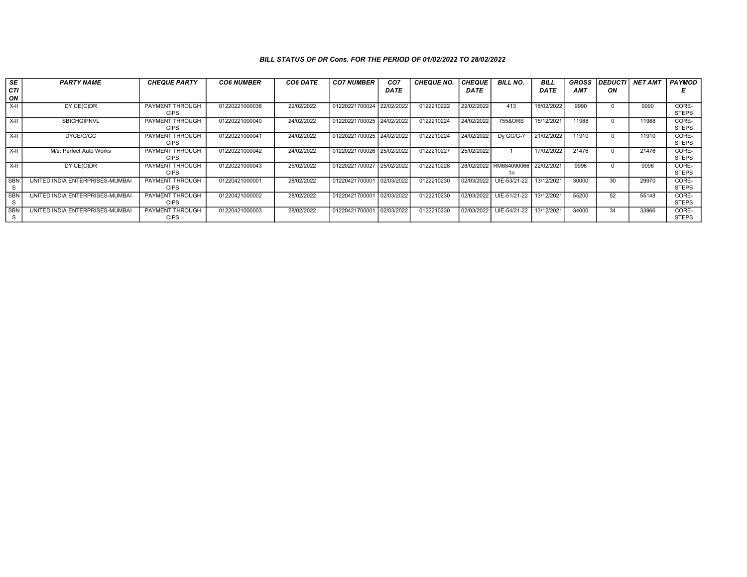| SE<br>CTI<br>ON | <b>PARTY NAME</b>               | <b>CHEQUE PARTY</b>                   | <b>CO6 NUMBER</b> | CO6 DATE   | <b>CO7 NUMBER</b>         | CO <sub>7</sub><br><b>DATE</b> | <b>CHEQUE NO.</b> | <b>CHEQUE</b><br>DATE | <b>BILL NO.</b>              | <b>BILL</b><br><b>DATE</b> | <b>GROSS</b><br><b>AMT</b> | <b>DEDUCTI</b><br>ΟN | <b>NET AMT</b> | <b>PAYMOD</b>         |
|-----------------|---------------------------------|---------------------------------------|-------------------|------------|---------------------------|--------------------------------|-------------------|-----------------------|------------------------------|----------------------------|----------------------------|----------------------|----------------|-----------------------|
| X-II            | DY CE(C)DR                      | <b>PAYMENT THROUGH</b><br><b>CIPS</b> | 01220221000038    | 22/02/2022 | 01220221700024 22/02/2022 |                                | 0122210222        | 22/02/2022            | 413                          | 18/02/2022                 | 9990                       |                      | 9990           | CORE-<br><b>STEPS</b> |
| $X-H$           | <b>SBICHGIPNVL</b>              | PAYMENT THROUGH<br><b>CIPS</b>        | 01220221000040    | 24/02/2022 | 01220221700025 24/02/2022 |                                | 0122210224        | 24/02/2022            | 755&ORS                      | 15/12/2021                 | 11988                      |                      | 11988          | CORE-<br><b>STEPS</b> |
| $X-II$          | DYCE/C/GC                       | PAYMENT THROUGH<br><b>CIPS</b>        | 01220221000041    | 24/02/2022 | 01220221700025 24/02/2022 |                                | 0122210224        | 24/02/2022            | Dv GC/G-7                    | 21/02/2022                 | 11910                      |                      | 11910          | CORE-<br><b>STEPS</b> |
| X-II            | M/s: Perfect Auto Works         | PAYMENT THROUGH<br><b>CIPS</b>        | 01220221000042    | 24/02/2022 | 01220221700026 25/02/2022 |                                | 0122210227        | 25/02/2022            |                              | 17/02/2022                 | 21476                      |                      | 21476          | CORE-<br><b>STEPS</b> |
| $X-H$           | DY CE(C)DR                      | PAYMENT THROUGH<br><b>CIPS</b>        | 01220221000043    | 25/02/2022 | 01220221700027 25/02/2022 |                                | 0122210228        | 28/02/2022            | RM684090066 22/02/2021<br>1n |                            | 9996                       |                      | 9996           | CORE-<br><b>STEPS</b> |
| <b>SBN</b><br>s | UNITED INDIA ENTERPRISES-MUMBAI | <b>PAYMENT THROUGH</b><br><b>CIPS</b> | 01220421000001    | 28/02/2022 | 01220421700001            | 02/03/2022                     | 0122210230        | 02/03/2022            | UIE-53/21-22                 | 13/12/2021                 | 30000                      | 30                   | 29970          | CORE-<br><b>STEPS</b> |
| <b>SBN</b>      | UNITED INDIA ENTERPRISES-MUMBAI | PAYMENT THROUGH<br><b>CIPS</b>        | 01220421000002    | 28/02/2022 | 01220421700001            | 02/03/2022                     | 0122210230        | 02/03/2022            | UIE-51/21-22                 | 13/12/2021                 | 55200                      | 52                   | 55148          | CORE-<br><b>STEPS</b> |
| <b>SBN</b><br>S | UNITED INDIA ENTERPRISES-MUMBAI | <b>PAYMENT THROUGH</b><br><b>CIPS</b> | 01220421000003    | 28/02/2022 | 01220421700001            | 02/03/2022                     | 0122210230        | 02/03/2022            | UIE-54/21-22                 | 13/12/2021                 | 34000                      | 34                   | 33966          | CORE-<br><b>STEPS</b> |